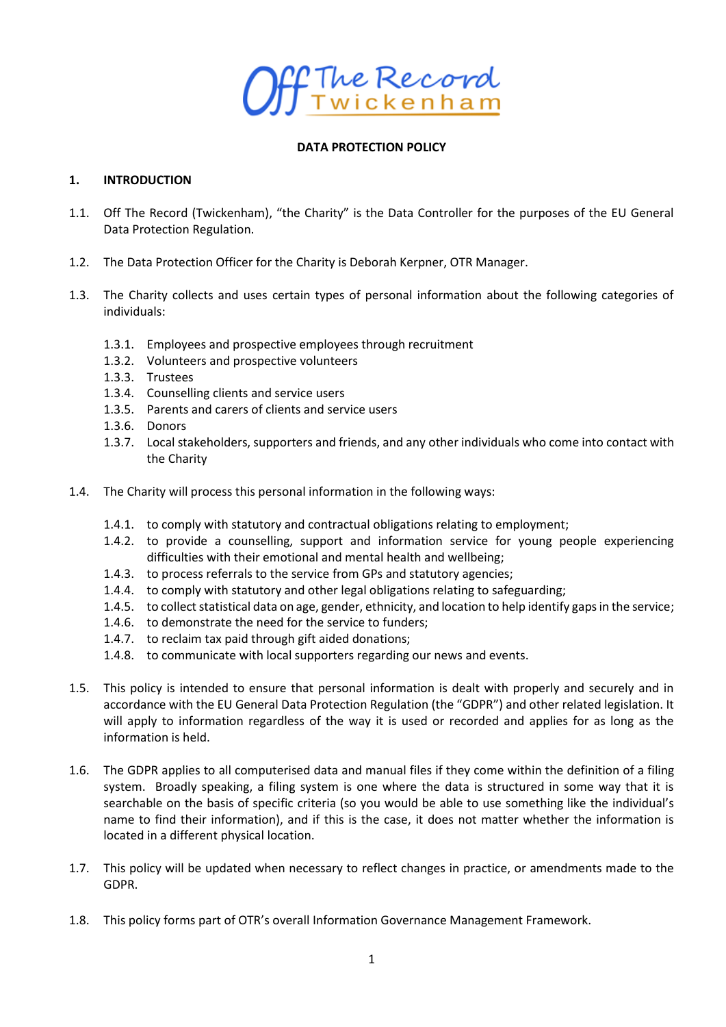

#### **DATA PROTECTION POLICY**

#### **1. INTRODUCTION**

- 1.1. Off The Record (Twickenham), "the Charity" is the Data Controller for the purposes of the EU General Data Protection Regulation.
- 1.2. The Data Protection Officer for the Charity is Deborah Kerpner, OTR Manager.
- 1.3. The Charity collects and uses certain types of personal information about the following categories of individuals:
	- 1.3.1. Employees and prospective employees through recruitment
	- 1.3.2. Volunteers and prospective volunteers
	- 1.3.3. Trustees
	- 1.3.4. Counselling clients and service users
	- 1.3.5. Parents and carers of clients and service users
	- 1.3.6. Donors
	- 1.3.7. Local stakeholders, supporters and friends, and any other individuals who come into contact with the Charity
- 1.4. The Charity will process this personal information in the following ways:
	- 1.4.1. to comply with statutory and contractual obligations relating to employment;
	- 1.4.2. to provide a counselling, support and information service for young people experiencing difficulties with their emotional and mental health and wellbeing;
	- 1.4.3. to process referrals to the service from GPs and statutory agencies;
	- 1.4.4. to comply with statutory and other legal obligations relating to safeguarding;
	- 1.4.5. to collect statistical data on age, gender, ethnicity, and location to help identify gaps in the service;
	- 1.4.6. to demonstrate the need for the service to funders;
	- 1.4.7. to reclaim tax paid through gift aided donations;
	- 1.4.8. to communicate with local supporters regarding our news and events.
- 1.5. This policy is intended to ensure that personal information is dealt with properly and securely and in accordance with the EU General Data Protection Regulation (the "GDPR") and other related legislation. It will apply to information regardless of the way it is used or recorded and applies for as long as the information is held.
- 1.6. The GDPR applies to all computerised data and manual files if they come within the definition of a filing system. Broadly speaking, a filing system is one where the data is structured in some way that it is searchable on the basis of specific criteria (so you would be able to use something like the individual's name to find their information), and if this is the case, it does not matter whether the information is located in a different physical location.
- 1.7. This policy will be updated when necessary to reflect changes in practice, or amendments made to the GDPR.
- 1.8. This policy forms part of OTR's overall Information Governance Management Framework.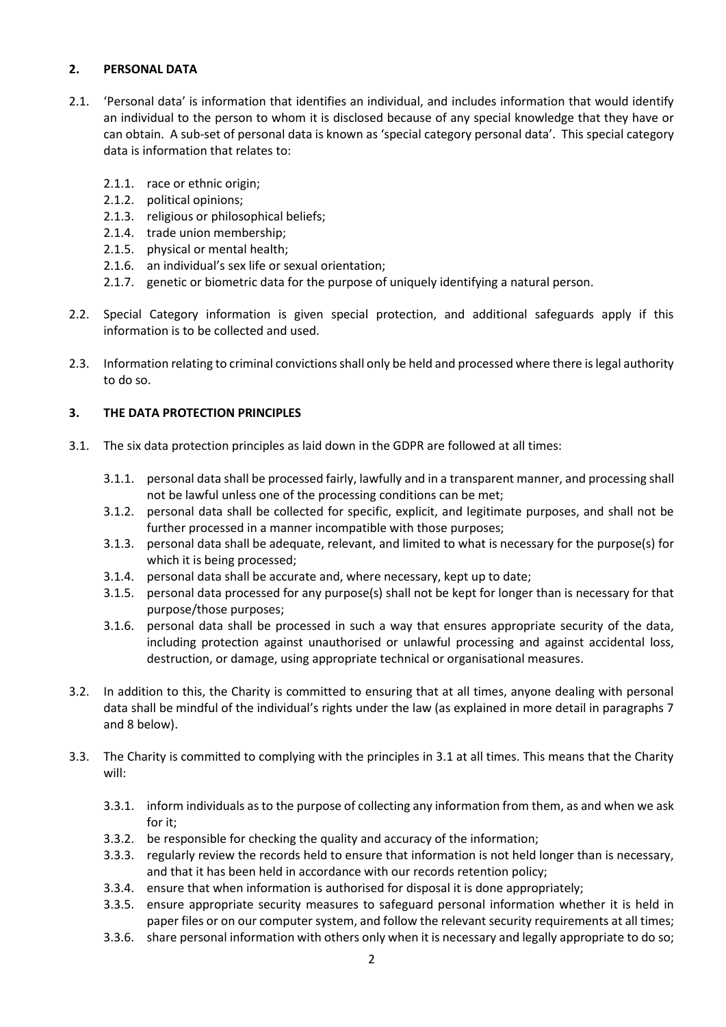## **2. PERSONAL DATA**

- 2.1. 'Personal data' is information that identifies an individual, and includes information that would identify an individual to the person to whom it is disclosed because of any special knowledge that they have or can obtain. A sub-set of personal data is known as 'special category personal data'. This special category data is information that relates to:
	- 2.1.1. race or ethnic origin;
	- 2.1.2. political opinions;
	- 2.1.3. religious or philosophical beliefs;
	- 2.1.4. trade union membership;
	- 2.1.5. physical or mental health;
	- 2.1.6. an individual's sex life or sexual orientation;
	- 2.1.7. genetic or biometric data for the purpose of uniquely identifying a natural person.
- 2.2. Special Category information is given special protection, and additional safeguards apply if this information is to be collected and used.
- 2.3. Information relating to criminal convictions shall only be held and processed where there is legal authority to do so.

# **3. THE DATA PROTECTION PRINCIPLES**

- 3.1. The six data protection principles as laid down in the GDPR are followed at all times:
	- 3.1.1. personal data shall be processed fairly, lawfully and in a transparent manner, and processing shall not be lawful unless one of the processing conditions can be met;
	- 3.1.2. personal data shall be collected for specific, explicit, and legitimate purposes, and shall not be further processed in a manner incompatible with those purposes;
	- 3.1.3. personal data shall be adequate, relevant, and limited to what is necessary for the purpose(s) for which it is being processed;
	- 3.1.4. personal data shall be accurate and, where necessary, kept up to date;
	- 3.1.5. personal data processed for any purpose(s) shall not be kept for longer than is necessary for that purpose/those purposes;
	- 3.1.6. personal data shall be processed in such a way that ensures appropriate security of the data, including protection against unauthorised or unlawful processing and against accidental loss, destruction, or damage, using appropriate technical or organisational measures.
- 3.2. In addition to this, the Charity is committed to ensuring that at all times, anyone dealing with personal data shall be mindful of the individual's rights under the law (as explained in more detail in paragraphs 7 and 8 below).
- 3.3. The Charity is committed to complying with the principles in 3.1 at all times. This means that the Charity will:
	- 3.3.1. inform individuals as to the purpose of collecting any information from them, as and when we ask for it;
	- 3.3.2. be responsible for checking the quality and accuracy of the information;
	- 3.3.3. regularly review the records held to ensure that information is not held longer than is necessary, and that it has been held in accordance with our records retention policy;
	- 3.3.4. ensure that when information is authorised for disposal it is done appropriately;
	- 3.3.5. ensure appropriate security measures to safeguard personal information whether it is held in paper files or on our computer system, and follow the relevant security requirements at all times;
	- 3.3.6. share personal information with others only when it is necessary and legally appropriate to do so;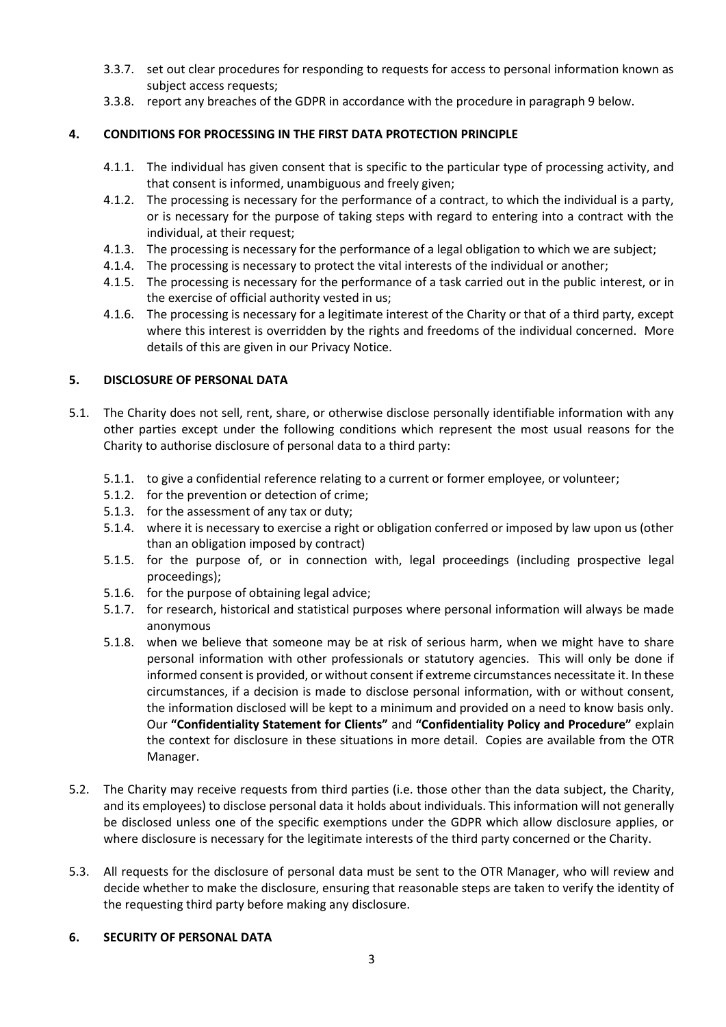- 3.3.7. set out clear procedures for responding to requests for access to personal information known as subject access requests;
- 3.3.8. report any breaches of the GDPR in accordance with the procedure in paragraph 9 below.

# **4. CONDITIONS FOR PROCESSING IN THE FIRST DATA PROTECTION PRINCIPLE**

- 4.1.1. The individual has given consent that is specific to the particular type of processing activity, and that consent is informed, unambiguous and freely given;
- 4.1.2. The processing is necessary for the performance of a contract, to which the individual is a party, or is necessary for the purpose of taking steps with regard to entering into a contract with the individual, at their request;
- 4.1.3. The processing is necessary for the performance of a legal obligation to which we are subject;
- 4.1.4. The processing is necessary to protect the vital interests of the individual or another;
- 4.1.5. The processing is necessary for the performance of a task carried out in the public interest, or in the exercise of official authority vested in us;
- 4.1.6. The processing is necessary for a legitimate interest of the Charity or that of a third party, except where this interest is overridden by the rights and freedoms of the individual concerned. More details of this are given in our Privacy Notice.

# **5. DISCLOSURE OF PERSONAL DATA**

- 5.1. The Charity does not sell, rent, share, or otherwise disclose personally identifiable information with any other parties except under the following conditions which represent the most usual reasons for the Charity to authorise disclosure of personal data to a third party:
	- 5.1.1. to give a confidential reference relating to a current or former employee, or volunteer;
	- 5.1.2. for the prevention or detection of crime;
	- 5.1.3. for the assessment of any tax or duty;
	- 5.1.4. where it is necessary to exercise a right or obligation conferred or imposed by law upon us (other than an obligation imposed by contract)
	- 5.1.5. for the purpose of, or in connection with, legal proceedings (including prospective legal proceedings);
	- 5.1.6. for the purpose of obtaining legal advice;
	- 5.1.7. for research, historical and statistical purposes where personal information will always be made anonymous
	- 5.1.8. when we believe that someone may be at risk of serious harm, when we might have to share personal information with other professionals or statutory agencies. This will only be done if informed consent is provided, or without consent if extreme circumstances necessitate it. In these circumstances, if a decision is made to disclose personal information, with or without consent, the information disclosed will be kept to a minimum and provided on a need to know basis only. Our **"Confidentiality Statement for Clients"** and **"Confidentiality Policy and Procedure"** explain the context for disclosure in these situations in more detail. Copies are available from the OTR Manager.
- 5.2. The Charity may receive requests from third parties (i.e. those other than the data subject, the Charity, and its employees) to disclose personal data it holds about individuals. This information will not generally be disclosed unless one of the specific exemptions under the GDPR which allow disclosure applies, or where disclosure is necessary for the legitimate interests of the third party concerned or the Charity.
- 5.3. All requests for the disclosure of personal data must be sent to the OTR Manager, who will review and decide whether to make the disclosure, ensuring that reasonable steps are taken to verify the identity of the requesting third party before making any disclosure.

## **6. SECURITY OF PERSONAL DATA**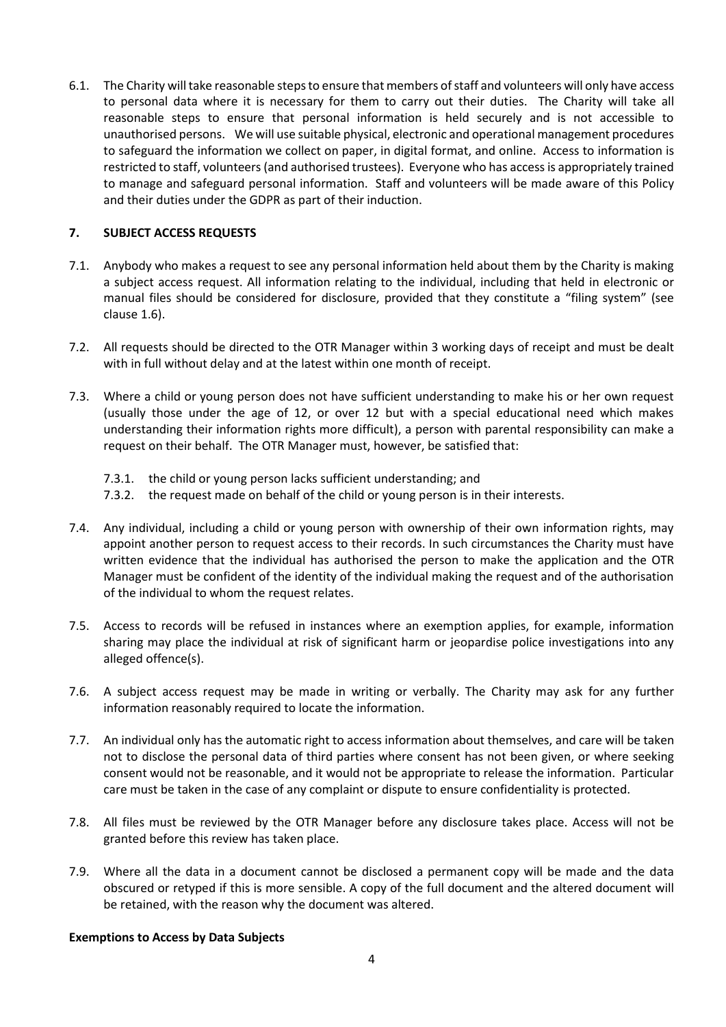6.1. The Charity will take reasonable steps to ensure that members of staff and volunteers will only have access to personal data where it is necessary for them to carry out their duties. The Charity will take all reasonable steps to ensure that personal information is held securely and is not accessible to unauthorised persons. We will use suitable physical, electronic and operational management procedures to safeguard the information we collect on paper, in digital format, and online. Access to information is restricted to staff, volunteers(and authorised trustees). Everyone who has access is appropriately trained to manage and safeguard personal information. Staff and volunteers will be made aware of this Policy and their duties under the GDPR as part of their induction.

#### **7. SUBJECT ACCESS REQUESTS**

- 7.1. Anybody who makes a request to see any personal information held about them by the Charity is making a subject access request. All information relating to the individual, including that held in electronic or manual files should be considered for disclosure, provided that they constitute a "filing system" (see clause 1.6).
- 7.2. All requests should be directed to the OTR Manager within 3 working days of receipt and must be dealt with in full without delay and at the latest within one month of receipt.
- 7.3. Where a child or young person does not have sufficient understanding to make his or her own request (usually those under the age of 12, or over 12 but with a special educational need which makes understanding their information rights more difficult), a person with parental responsibility can make a request on their behalf. The OTR Manager must, however, be satisfied that:
	- 7.3.1. the child or young person lacks sufficient understanding; and
	- 7.3.2. the request made on behalf of the child or young person is in their interests.
- 7.4. Any individual, including a child or young person with ownership of their own information rights, may appoint another person to request access to their records. In such circumstances the Charity must have written evidence that the individual has authorised the person to make the application and the OTR Manager must be confident of the identity of the individual making the request and of the authorisation of the individual to whom the request relates.
- 7.5. Access to records will be refused in instances where an exemption applies, for example, information sharing may place the individual at risk of significant harm or jeopardise police investigations into any alleged offence(s).
- 7.6. A subject access request may be made in writing or verbally. The Charity may ask for any further information reasonably required to locate the information.
- 7.7. An individual only has the automatic right to access information about themselves, and care will be taken not to disclose the personal data of third parties where consent has not been given, or where seeking consent would not be reasonable, and it would not be appropriate to release the information. Particular care must be taken in the case of any complaint or dispute to ensure confidentiality is protected.
- 7.8. All files must be reviewed by the OTR Manager before any disclosure takes place. Access will not be granted before this review has taken place.
- 7.9. Where all the data in a document cannot be disclosed a permanent copy will be made and the data obscured or retyped if this is more sensible. A copy of the full document and the altered document will be retained, with the reason why the document was altered.

#### **Exemptions to Access by Data Subjects**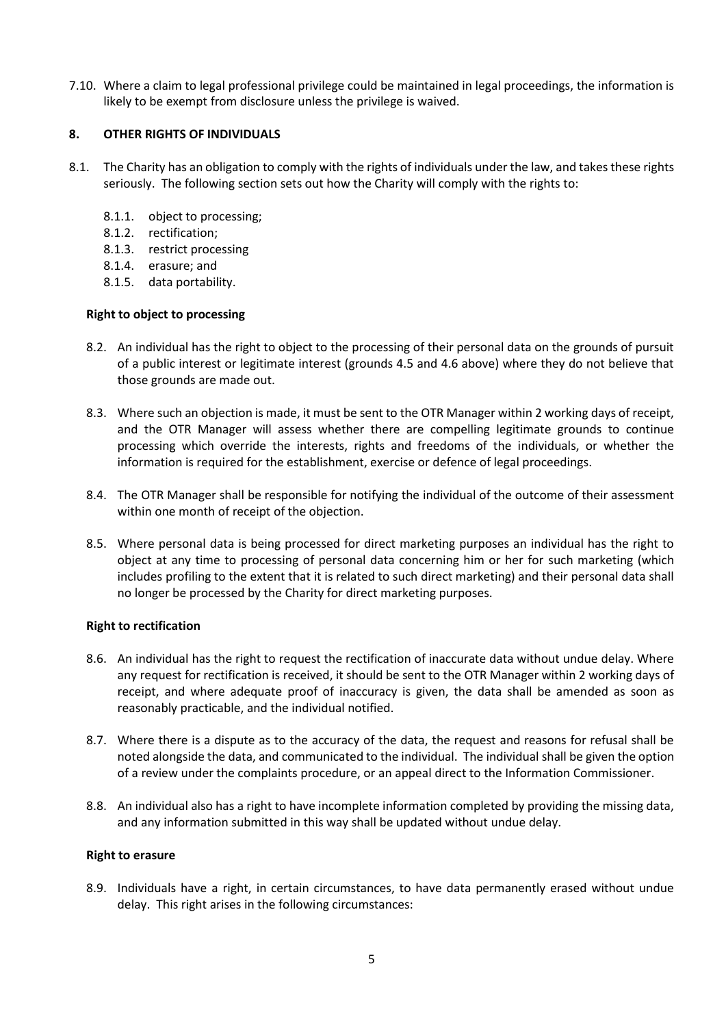7.10. Where a claim to legal professional privilege could be maintained in legal proceedings, the information is likely to be exempt from disclosure unless the privilege is waived.

#### **8. OTHER RIGHTS OF INDIVIDUALS**

- 8.1. The Charity has an obligation to comply with the rights of individuals under the law, and takes these rights seriously. The following section sets out how the Charity will comply with the rights to:
	- 8.1.1. object to processing;
	- 8.1.2. rectification;
	- 8.1.3. restrict processing
	- 8.1.4. erasure; and
	- 8.1.5. data portability.

### **Right to object to processing**

- 8.2. An individual has the right to object to the processing of their personal data on the grounds of pursuit of a public interest or legitimate interest (grounds 4.5 and 4.6 above) where they do not believe that those grounds are made out.
- 8.3. Where such an objection is made, it must be sent to the OTR Manager within 2 working days of receipt, and the OTR Manager will assess whether there are compelling legitimate grounds to continue processing which override the interests, rights and freedoms of the individuals, or whether the information is required for the establishment, exercise or defence of legal proceedings.
- 8.4. The OTR Manager shall be responsible for notifying the individual of the outcome of their assessment within one month of receipt of the objection.
- 8.5. Where personal data is being processed for direct marketing purposes an individual has the right to object at any time to processing of personal data concerning him or her for such marketing (which includes profiling to the extent that it is related to such direct marketing) and their personal data shall no longer be processed by the Charity for direct marketing purposes.

#### **Right to rectification**

- 8.6. An individual has the right to request the rectification of inaccurate data without undue delay. Where any request for rectification is received, it should be sent to the OTR Manager within 2 working days of receipt, and where adequate proof of inaccuracy is given, the data shall be amended as soon as reasonably practicable, and the individual notified.
- 8.7. Where there is a dispute as to the accuracy of the data, the request and reasons for refusal shall be noted alongside the data, and communicated to the individual. The individual shall be given the option of a review under the complaints procedure, or an appeal direct to the Information Commissioner.
- 8.8. An individual also has a right to have incomplete information completed by providing the missing data, and any information submitted in this way shall be updated without undue delay.

#### **Right to erasure**

8.9. Individuals have a right, in certain circumstances, to have data permanently erased without undue delay. This right arises in the following circumstances: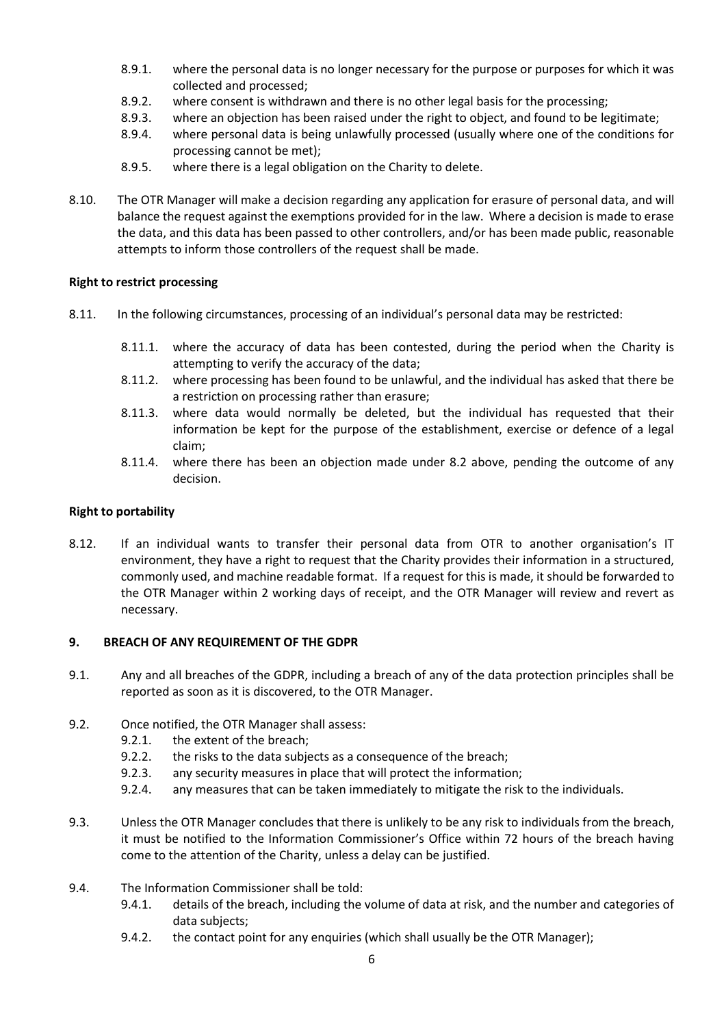- 8.9.1. where the personal data is no longer necessary for the purpose or purposes for which it was collected and processed;
- 8.9.2. where consent is withdrawn and there is no other legal basis for the processing;
- 8.9.3. where an objection has been raised under the right to object, and found to be legitimate;
- 8.9.4. where personal data is being unlawfully processed (usually where one of the conditions for processing cannot be met);
- 8.9.5. where there is a legal obligation on the Charity to delete.
- 8.10. The OTR Manager will make a decision regarding any application for erasure of personal data, and will balance the request against the exemptions provided for in the law. Where a decision is made to erase the data, and this data has been passed to other controllers, and/or has been made public, reasonable attempts to inform those controllers of the request shall be made.

## **Right to restrict processing**

- 8.11. In the following circumstances, processing of an individual's personal data may be restricted:
	- 8.11.1. where the accuracy of data has been contested, during the period when the Charity is attempting to verify the accuracy of the data;
	- 8.11.2. where processing has been found to be unlawful, and the individual has asked that there be a restriction on processing rather than erasure;
	- 8.11.3. where data would normally be deleted, but the individual has requested that their information be kept for the purpose of the establishment, exercise or defence of a legal claim;
	- 8.11.4. where there has been an objection made under 8.2 above, pending the outcome of any decision.

#### **Right to portability**

8.12. If an individual wants to transfer their personal data from OTR to another organisation's IT environment, they have a right to request that the Charity provides their information in a structured, commonly used, and machine readable format. If a request for this is made, it should be forwarded to the OTR Manager within 2 working days of receipt, and the OTR Manager will review and revert as necessary.

#### **9. BREACH OF ANY REQUIREMENT OF THE GDPR**

- 9.1. Any and all breaches of the GDPR, including a breach of any of the data protection principles shall be reported as soon as it is discovered, to the OTR Manager.
- 9.2. Once notified, the OTR Manager shall assess:
	- 9.2.1. the extent of the breach;
	- 9.2.2. the risks to the data subjects as a consequence of the breach;
	- 9.2.3. any security measures in place that will protect the information;
	- 9.2.4. any measures that can be taken immediately to mitigate the risk to the individuals.
- 9.3. Unless the OTR Manager concludes that there is unlikely to be any risk to individuals from the breach, it must be notified to the Information Commissioner's Office within 72 hours of the breach having come to the attention of the Charity, unless a delay can be justified.
- 9.4. The Information Commissioner shall be told:
	- 9.4.1. details of the breach, including the volume of data at risk, and the number and categories of data subjects;
	- 9.4.2. the contact point for any enquiries (which shall usually be the OTR Manager);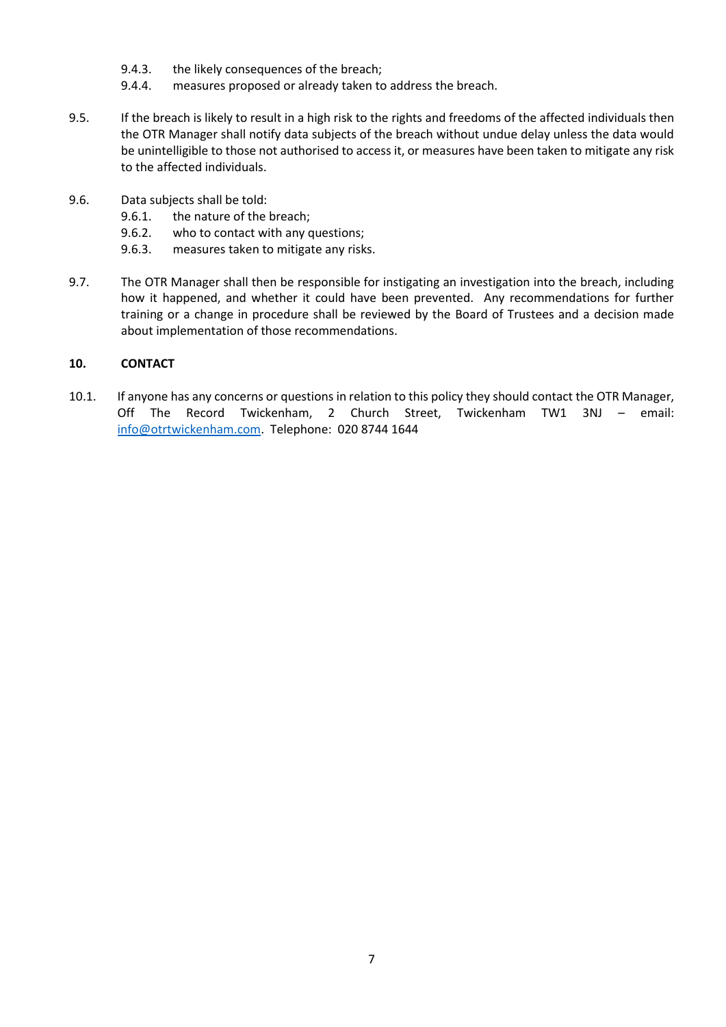- 9.4.3. the likely consequences of the breach;
- 9.4.4. measures proposed or already taken to address the breach.
- 9.5. If the breach is likely to result in a high risk to the rights and freedoms of the affected individuals then the OTR Manager shall notify data subjects of the breach without undue delay unless the data would be unintelligible to those not authorised to access it, or measures have been taken to mitigate any risk to the affected individuals.
- 9.6. Data subjects shall be told:
	- 9.6.1. the nature of the breach;
	- 9.6.2. who to contact with any questions;
	- 9.6.3. measures taken to mitigate any risks.
- 9.7. The OTR Manager shall then be responsible for instigating an investigation into the breach, including how it happened, and whether it could have been prevented. Any recommendations for further training or a change in procedure shall be reviewed by the Board of Trustees and a decision made about implementation of those recommendations.

### **10. CONTACT**

10.1. If anyone has any concerns or questions in relation to this policy they should contact the OTR Manager, Off The Record Twickenham, 2 Church Street, Twickenham TW1 3NJ – email: [info@otrtwickenham.com.](mailto:info@otrtwickenham.com) Telephone: 020 8744 1644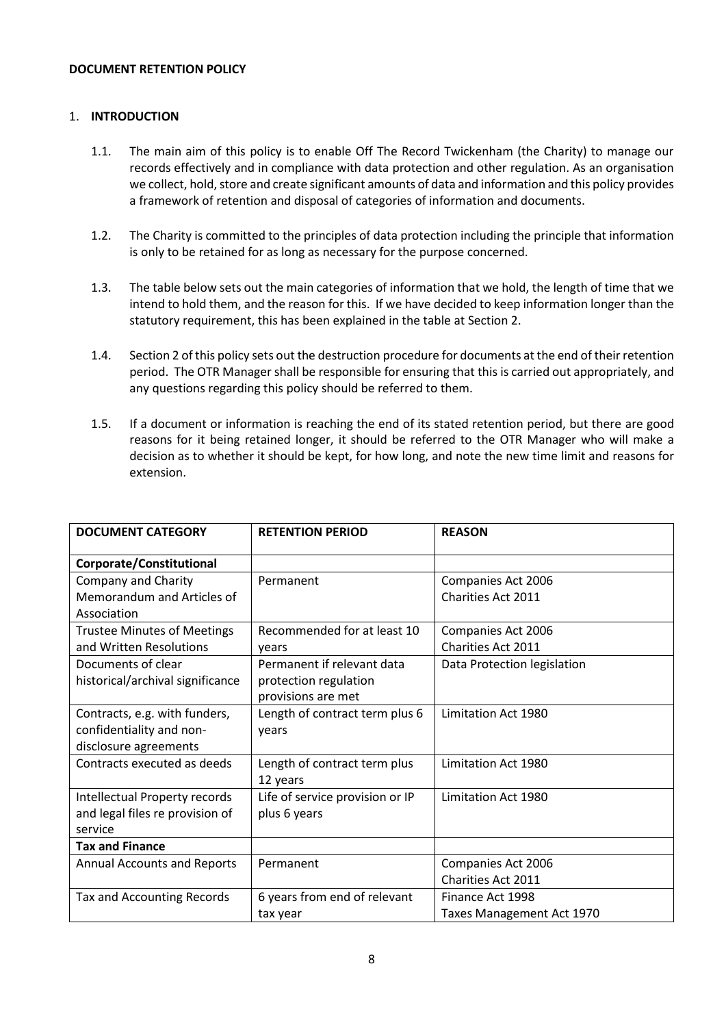#### **DOCUMENT RETENTION POLICY**

#### 1. **INTRODUCTION**

- 1.1. The main aim of this policy is to enable Off The Record Twickenham (the Charity) to manage our records effectively and in compliance with data protection and other regulation. As an organisation we collect, hold, store and create significant amounts of data and information and this policy provides a framework of retention and disposal of categories of information and documents.
- 1.2. The Charity is committed to the principles of data protection including the principle that information is only to be retained for as long as necessary for the purpose concerned.
- 1.3. The table below sets out the main categories of information that we hold, the length of time that we intend to hold them, and the reason for this. If we have decided to keep information longer than the statutory requirement, this has been explained in the table at Section 2.
- 1.4. Section 2 of this policy sets out the destruction procedure for documents at the end of their retention period. The OTR Manager shall be responsible for ensuring that this is carried out appropriately, and any questions regarding this policy should be referred to them.
- 1.5. If a document or information is reaching the end of its stated retention period, but there are good reasons for it being retained longer, it should be referred to the OTR Manager who will make a decision as to whether it should be kept, for how long, and note the new time limit and reasons for extension.

| <b>DOCUMENT CATEGORY</b>                                                           | <b>RETENTION PERIOD</b>                                                   | <b>REASON</b>                                   |
|------------------------------------------------------------------------------------|---------------------------------------------------------------------------|-------------------------------------------------|
| Corporate/Constitutional                                                           |                                                                           |                                                 |
| <b>Company and Charity</b><br>Memorandum and Articles of<br>Association            | Permanent                                                                 | Companies Act 2006<br><b>Charities Act 2011</b> |
| <b>Trustee Minutes of Meetings</b><br>and Written Resolutions                      | Recommended for at least 10<br>years                                      | Companies Act 2006<br><b>Charities Act 2011</b> |
| Documents of clear<br>historical/archival significance                             | Permanent if relevant data<br>protection regulation<br>provisions are met | Data Protection legislation                     |
| Contracts, e.g. with funders,<br>confidentiality and non-<br>disclosure agreements | Length of contract term plus 6<br>years                                   | Limitation Act 1980                             |
| Contracts executed as deeds                                                        | Length of contract term plus<br>12 years                                  | Limitation Act 1980                             |
| Intellectual Property records<br>and legal files re provision of<br>service        | Life of service provision or IP<br>plus 6 years                           | Limitation Act 1980                             |
| <b>Tax and Finance</b>                                                             |                                                                           |                                                 |
| <b>Annual Accounts and Reports</b>                                                 | Permanent                                                                 | Companies Act 2006<br>Charities Act 2011        |
| Tax and Accounting Records                                                         | 6 years from end of relevant<br>tax year                                  | Finance Act 1998<br>Taxes Management Act 1970   |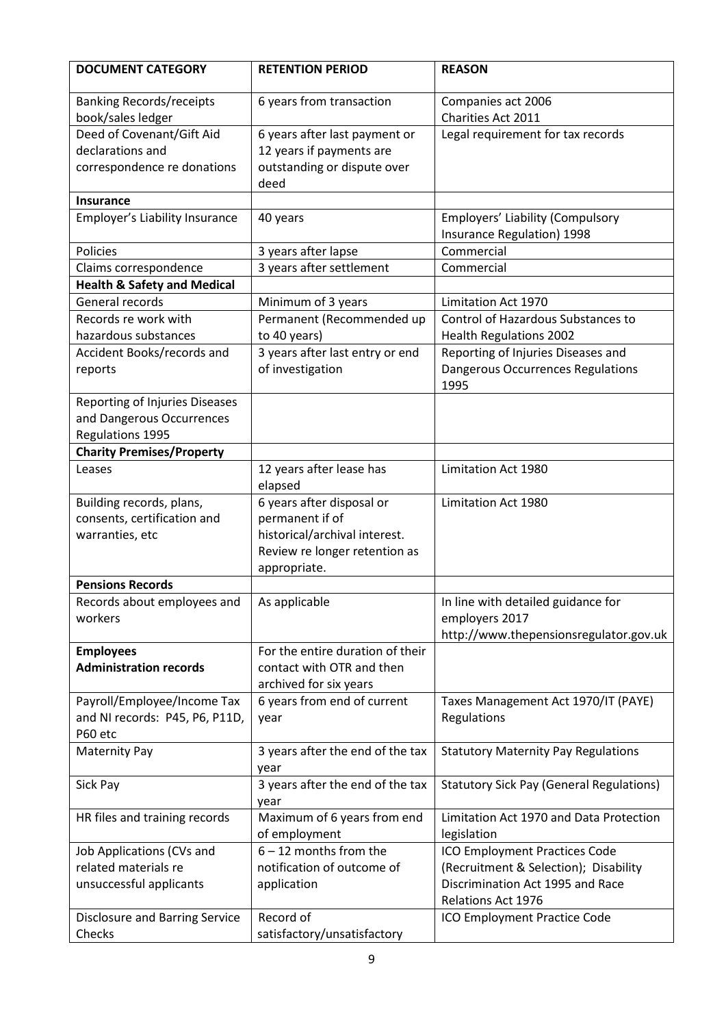| <b>DOCUMENT CATEGORY</b>                             | <b>RETENTION PERIOD</b>             | <b>REASON</b>                                                  |
|------------------------------------------------------|-------------------------------------|----------------------------------------------------------------|
| <b>Banking Records/receipts</b><br>book/sales ledger | 6 years from transaction            | Companies act 2006<br>Charities Act 2011                       |
| Deed of Covenant/Gift Aid                            | 6 years after last payment or       | Legal requirement for tax records                              |
| declarations and                                     | 12 years if payments are            |                                                                |
| correspondence re donations                          | outstanding or dispute over<br>deed |                                                                |
| <b>Insurance</b>                                     |                                     |                                                                |
| <b>Employer's Liability Insurance</b>                | 40 years                            | Employers' Liability (Compulsory<br>Insurance Regulation) 1998 |
| Policies                                             | 3 years after lapse                 | Commercial                                                     |
| Claims correspondence                                | 3 years after settlement            | Commercial                                                     |
| <b>Health &amp; Safety and Medical</b>               |                                     |                                                                |
| General records                                      | Minimum of 3 years                  | <b>Limitation Act 1970</b>                                     |
| Records re work with                                 | Permanent (Recommended up           | Control of Hazardous Substances to                             |
| hazardous substances                                 | to 40 years)                        | <b>Health Regulations 2002</b>                                 |
| Accident Books/records and                           | 3 years after last entry or end     | Reporting of Injuries Diseases and                             |
| reports                                              | of investigation                    | Dangerous Occurrences Regulations<br>1995                      |
| Reporting of Injuries Diseases                       |                                     |                                                                |
| and Dangerous Occurrences                            |                                     |                                                                |
| Regulations 1995                                     |                                     |                                                                |
| <b>Charity Premises/Property</b>                     |                                     |                                                                |
| Leases                                               | 12 years after lease has<br>elapsed | Limitation Act 1980                                            |
| Building records, plans,                             | 6 years after disposal or           | Limitation Act 1980                                            |
| consents, certification and                          | permanent if of                     |                                                                |
| warranties, etc                                      | historical/archival interest.       |                                                                |
|                                                      | Review re longer retention as       |                                                                |
| <b>Pensions Records</b>                              | appropriate.                        |                                                                |
|                                                      |                                     |                                                                |
| Records about employees and                          | As applicable                       | In line with detailed guidance for<br>employers 2017           |
| workers                                              |                                     | http://www.thepensionsregulator.gov.uk                         |
| <b>Employees</b>                                     | For the entire duration of their    |                                                                |
| <b>Administration records</b>                        | contact with OTR and then           |                                                                |
|                                                      | archived for six years              |                                                                |
| Payroll/Employee/Income Tax                          | 6 years from end of current         | Taxes Management Act 1970/IT (PAYE)                            |
| and NI records: P45, P6, P11D,                       | year                                | Regulations                                                    |
| P60 etc                                              |                                     |                                                                |
| <b>Maternity Pay</b>                                 | 3 years after the end of the tax    | <b>Statutory Maternity Pay Regulations</b>                     |
|                                                      | year                                |                                                                |
| Sick Pay                                             | 3 years after the end of the tax    | <b>Statutory Sick Pay (General Regulations)</b>                |
|                                                      | year                                |                                                                |
| HR files and training records                        | Maximum of 6 years from end         | Limitation Act 1970 and Data Protection                        |
|                                                      | of employment                       | legislation                                                    |
| Job Applications (CVs and                            | $6 - 12$ months from the            | ICO Employment Practices Code                                  |
| related materials re                                 | notification of outcome of          | (Recruitment & Selection); Disability                          |
| unsuccessful applicants                              | application                         | Discrimination Act 1995 and Race                               |
|                                                      |                                     | Relations Act 1976                                             |
| <b>Disclosure and Barring Service</b>                | Record of                           | ICO Employment Practice Code                                   |
| Checks                                               | satisfactory/unsatisfactory         |                                                                |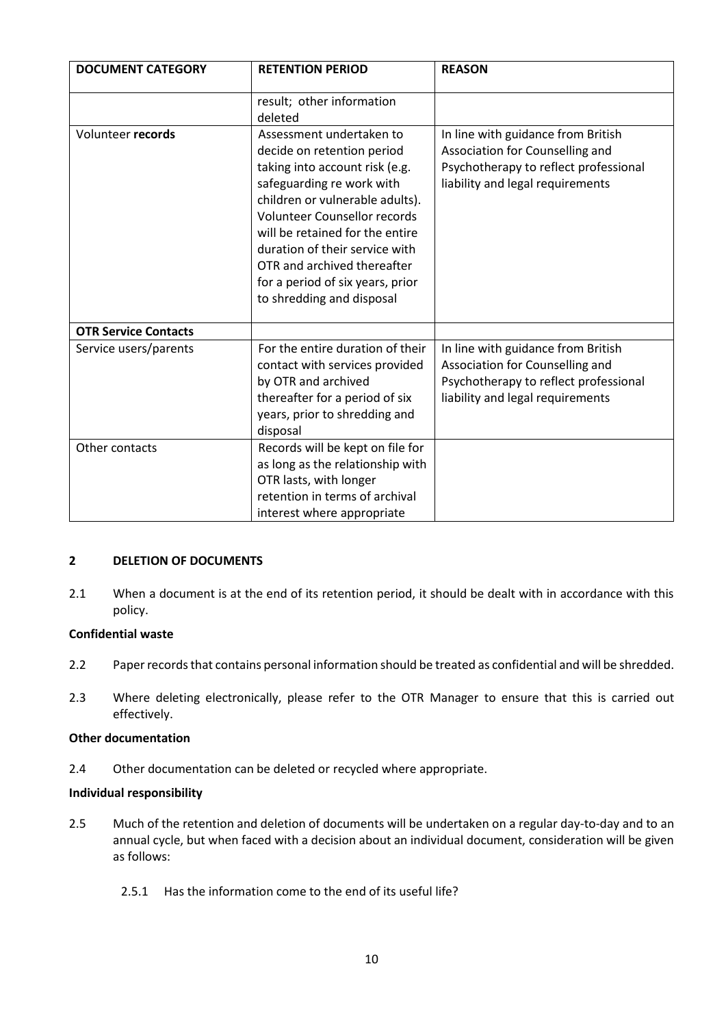| <b>DOCUMENT CATEGORY</b>    | <b>RETENTION PERIOD</b>                                                                                                                                                                                                                                                                                                                                              | <b>REASON</b>                                                                                                                                      |
|-----------------------------|----------------------------------------------------------------------------------------------------------------------------------------------------------------------------------------------------------------------------------------------------------------------------------------------------------------------------------------------------------------------|----------------------------------------------------------------------------------------------------------------------------------------------------|
|                             | result; other information<br>deleted                                                                                                                                                                                                                                                                                                                                 |                                                                                                                                                    |
| Volunteer records           | Assessment undertaken to<br>decide on retention period<br>taking into account risk (e.g.<br>safeguarding re work with<br>children or vulnerable adults).<br><b>Volunteer Counsellor records</b><br>will be retained for the entire<br>duration of their service with<br>OTR and archived thereafter<br>for a period of six years, prior<br>to shredding and disposal | In line with guidance from British<br>Association for Counselling and<br>Psychotherapy to reflect professional<br>liability and legal requirements |
| <b>OTR Service Contacts</b> |                                                                                                                                                                                                                                                                                                                                                                      |                                                                                                                                                    |
| Service users/parents       | For the entire duration of their<br>contact with services provided<br>by OTR and archived<br>thereafter for a period of six<br>years, prior to shredding and<br>disposal                                                                                                                                                                                             | In line with guidance from British<br>Association for Counselling and<br>Psychotherapy to reflect professional<br>liability and legal requirements |
| Other contacts              | Records will be kept on file for<br>as long as the relationship with<br>OTR lasts, with longer<br>retention in terms of archival<br>interest where appropriate                                                                                                                                                                                                       |                                                                                                                                                    |

## **2 DELETION OF DOCUMENTS**

2.1 When a document is at the end of its retention period, it should be dealt with in accordance with this policy.

#### **Confidential waste**

- 2.2 Paper records that contains personal information should be treated as confidential and will be shredded.
- 2.3 Where deleting electronically, please refer to the OTR Manager to ensure that this is carried out effectively.

#### **Other documentation**

2.4 Other documentation can be deleted or recycled where appropriate.

#### **Individual responsibility**

- 2.5 Much of the retention and deletion of documents will be undertaken on a regular day-to-day and to an annual cycle, but when faced with a decision about an individual document, consideration will be given as follows:
	- 2.5.1 Has the information come to the end of its useful life?